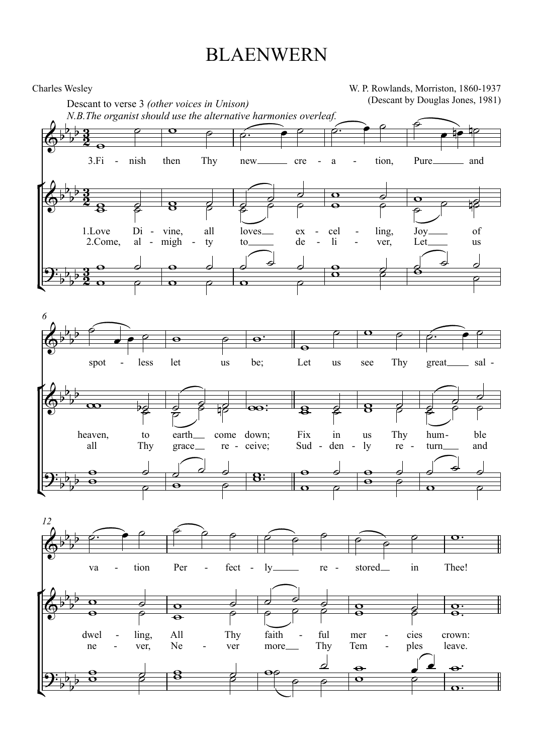## BLAENWERN

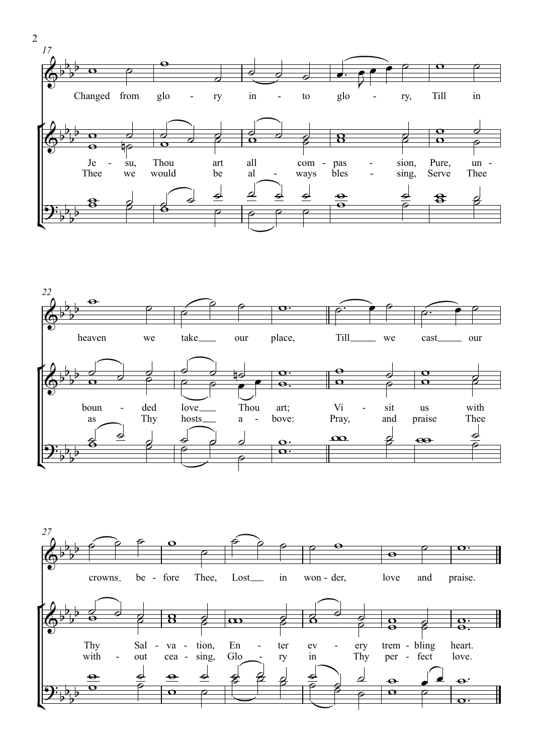





2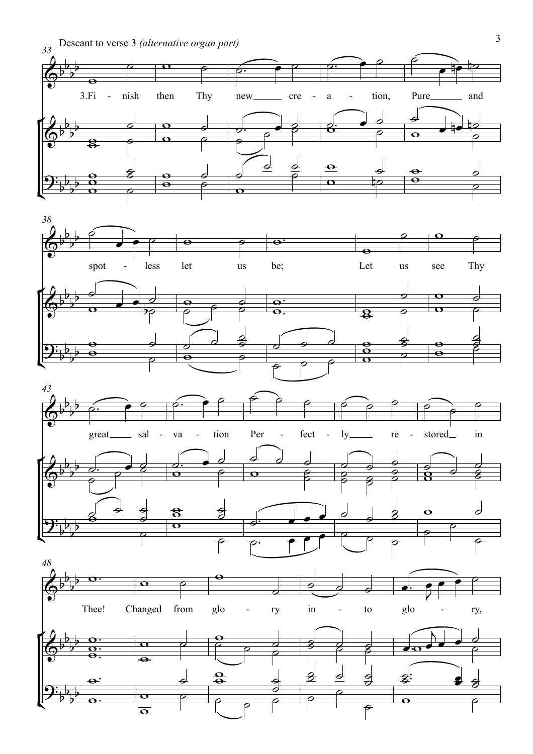